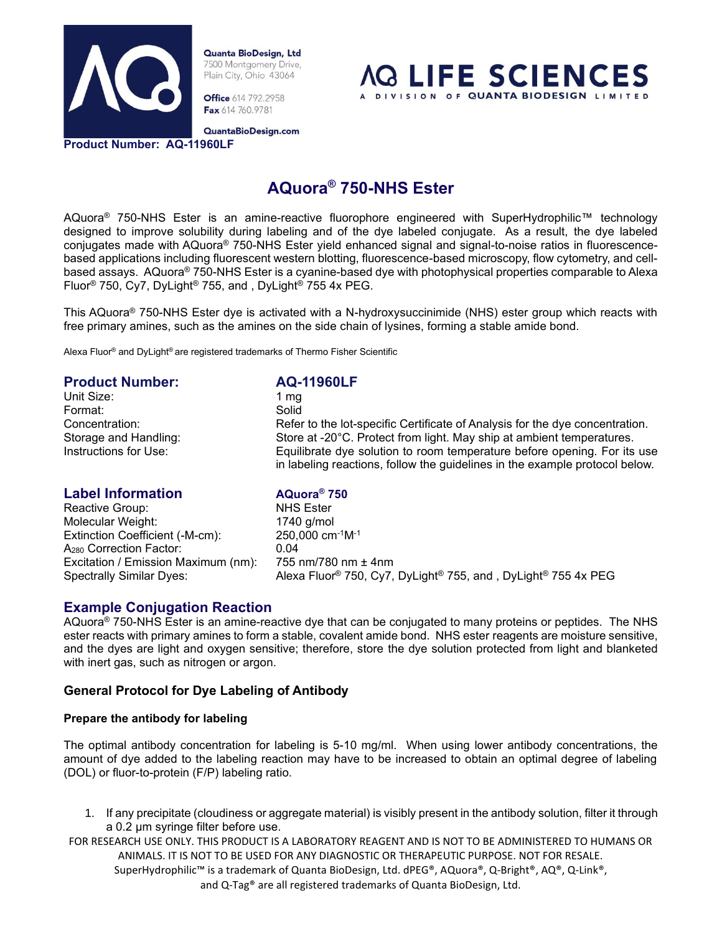

**Office** 614 792.2958 Fax 614 760.9781



QuantaBioDesign.com

**Product Number: AQ-11960LF**

# **AQuora® 750-NHS Ester**

AQuora<sup>®</sup> 750-NHS Ester is an amine-reactive fluorophore engineered with SuperHydrophilic™ technology designed to improve solubility during labeling and of the dye labeled conjugate. As a result, the dye labeled conjugates made with AQuora® 750-NHS Ester yield enhanced signal and signal-to-noise ratios in fluorescencebased applications including fluorescent western blotting, fluorescence-based microscopy, flow cytometry, and cellbased assays. AQuora® 750-NHS Ester is a cyanine-based dye with photophysical properties comparable to Alexa Fluor® 750, Cy7, DyLight® 755, and , DyLight® 755 4x PEG.

This AQuora® 750-NHS Ester dye is activated with a N-hydroxysuccinimide (NHS) ester group which reacts with free primary amines, such as the amines on the side chain of lysines, forming a stable amide bond.

Alexa Fluor® and DyLight® are registered trademarks of Thermo Fisher Scientific

# **Product Number: AQ-11960LF** Unit Size: 1 mg Format: Solid Concentration: Refer to the lot-specific Certificate of Analysis for the dye concentration. Storage and Handling: Store at -20°C. Protect from light. May ship at ambient temperatures. Instructions for Use: Equilibrate dye solution to room temperature before opening. For its use in labeling reactions, follow the guidelines in the example protocol below.

# **Label Information AQuora® 750**

Reactive Group: NHS Ester Molecular Weight: 1740 g/mol Extinction Coefficient (-M-cm): 250,000 cm-1M-1 A<sub>280</sub> Correction Factor: 0.04 Excitation / Emission Maximum (nm): 755 nm/780 nm ± 4nm

Spectrally Similar Dyes: Alexa Fluor® 750, Cy7, DyLight® 755, and , DyLight® 755 4x PEG

# **Example Conjugation Reaction**

AQuora® 750-NHS Ester is an amine-reactive dye that can be conjugated to many proteins or peptides. The NHS ester reacts with primary amines to form a stable, covalent amide bond. NHS ester reagents are moisture sensitive, and the dyes are light and oxygen sensitive; therefore, store the dye solution protected from light and blanketed with inert gas, such as nitrogen or argon.

# **General Protocol for Dye Labeling of Antibody**

# **Prepare the antibody for labeling**

The optimal antibody concentration for labeling is 5-10 mg/ml. When using lower antibody concentrations, the amount of dye added to the labeling reaction may have to be increased to obtain an optimal degree of labeling (DOL) or fluor-to-protein (F/P) labeling ratio.

- 1. If any precipitate (cloudiness or aggregate material) is visibly present in the antibody solution, filter it through a 0.2 µm syringe filter before use.
- FOR RESEARCH USE ONLY. THIS PRODUCT IS A LABORATORY REAGENT AND IS NOT TO BE ADMINISTERED TO HUMANS OR ANIMALS. IT IS NOT TO BE USED FOR ANY DIAGNOSTIC OR THERAPEUTIC PURPOSE. NOT FOR RESALE. SuperHydrophilic™ is a trademark of Quanta BioDesign, Ltd. dPEG®, AQuora®, Q-Bright®, AQ®, Q-Link®, and Q-Tag® are all registered trademarks of Quanta BioDesign, Ltd.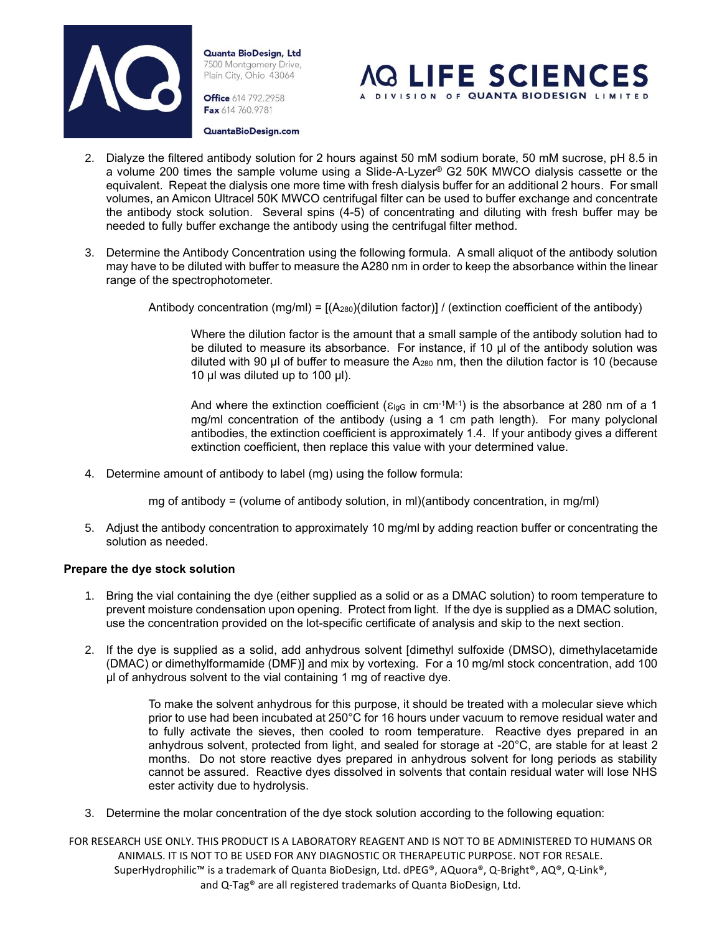

**Office** 614 792.2958 Fax 614 760.9781



QuantaBioDesign.com

- 2. Dialyze the filtered antibody solution for 2 hours against 50 mM sodium borate, 50 mM sucrose, pH 8.5 in a volume 200 times the sample volume using a Slide-A-Lyzer<sup>®</sup> G2 50K MWCO dialysis cassette or the equivalent. Repeat the dialysis one more time with fresh dialysis buffer for an additional 2 hours. For small volumes, an Amicon Ultracel 50K MWCO centrifugal filter can be used to buffer exchange and concentrate the antibody stock solution. Several spins (4-5) of concentrating and diluting with fresh buffer may be needed to fully buffer exchange the antibody using the centrifugal filter method.
- 3. Determine the Antibody Concentration using the following formula. A small aliquot of the antibody solution may have to be diluted with buffer to measure the A280 nm in order to keep the absorbance within the linear range of the spectrophotometer.

Antibody concentration  $(mg/ml) = [(A<sub>280</sub>)(dilution factor)] / (extinction coefficient of the antibody)$ 

Where the dilution factor is the amount that a small sample of the antibody solution had to be diluted to measure its absorbance. For instance, if 10 µl of the antibody solution was diluted with 90 µl of buffer to measure the A<sup>280</sup> nm, then the dilution factor is 10 (because 10  $\mu$ l was diluted up to 100  $\mu$ l).

And where the extinction coefficient ( $\varepsilon_{\text{lgG}}$  in cm<sup>-1</sup>M<sup>-1</sup>) is the absorbance at 280 nm of a 1 mg/ml concentration of the antibody (using a 1 cm path length). For many polyclonal antibodies, the extinction coefficient is approximately 1.4. If your antibody gives a different extinction coefficient, then replace this value with your determined value.

4. Determine amount of antibody to label (mg) using the follow formula:

mg of antibody = (volume of antibody solution, in ml)(antibody concentration, in mg/ml)

5. Adjust the antibody concentration to approximately 10 mg/ml by adding reaction buffer or concentrating the solution as needed.

#### **Prepare the dye stock solution**

- 1. Bring the vial containing the dye (either supplied as a solid or as a DMAC solution) to room temperature to prevent moisture condensation upon opening. Protect from light. If the dye is supplied as a DMAC solution, use the concentration provided on the lot-specific certificate of analysis and skip to the next section.
- 2. If the dye is supplied as a solid, add anhydrous solvent [dimethyl sulfoxide (DMSO), dimethylacetamide (DMAC) or dimethylformamide (DMF)] and mix by vortexing. For a 10 mg/ml stock concentration, add 100 µl of anhydrous solvent to the vial containing 1 mg of reactive dye.

To make the solvent anhydrous for this purpose, it should be treated with a molecular sieve which prior to use had been incubated at 250°C for 16 hours under vacuum to remove residual water and to fully activate the sieves, then cooled to room temperature. Reactive dyes prepared in an anhydrous solvent, protected from light, and sealed for storage at -20°C, are stable for at least 2 months. Do not store reactive dyes prepared in anhydrous solvent for long periods as stability cannot be assured. Reactive dyes dissolved in solvents that contain residual water will lose NHS ester activity due to hydrolysis.

3. Determine the molar concentration of the dye stock solution according to the following equation: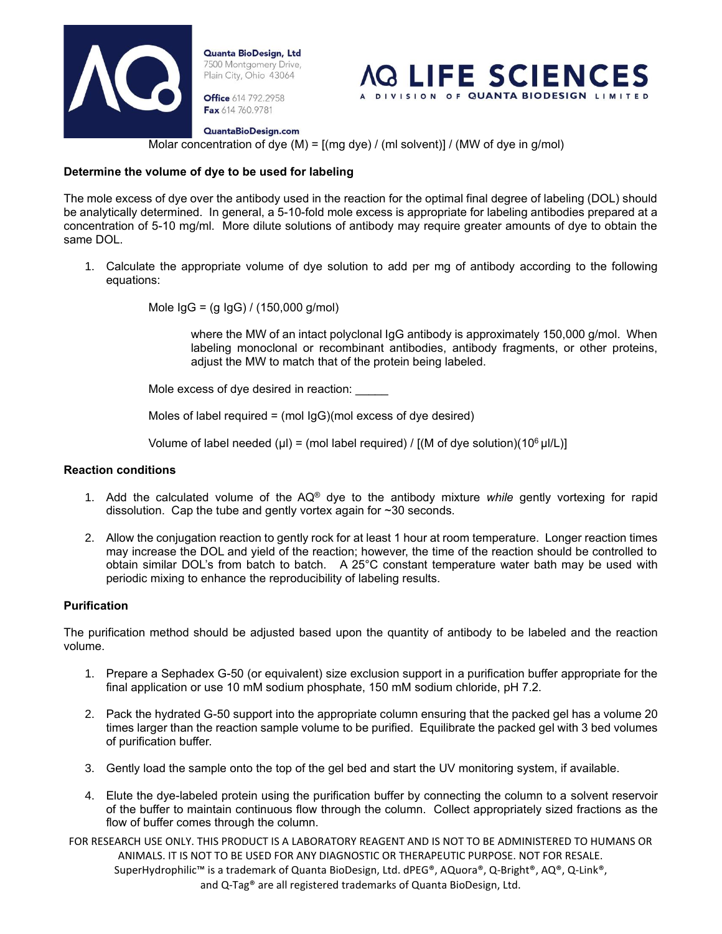

**Office** 614 792.2958 Fax 614 760.9781



QuantaBioDesign.com

Molar concentration of dye  $(M) = [(mg \, dye) / (ml \, solvent)] / (MW \, of \, dye \, in \, g/mol)]$ 

# **Determine the volume of dye to be used for labeling**

The mole excess of dye over the antibody used in the reaction for the optimal final degree of labeling (DOL) should be analytically determined. In general, a 5-10-fold mole excess is appropriate for labeling antibodies prepared at a concentration of 5-10 mg/ml. More dilute solutions of antibody may require greater amounts of dye to obtain the same DOL.

1. Calculate the appropriate volume of dye solution to add per mg of antibody according to the following equations:

Mole IgG = (g IgG) / (150,000 g/mol)

where the MW of an intact polyclonal IgG antibody is approximately 150,000 g/mol. When labeling monoclonal or recombinant antibodies, antibody fragments, or other proteins, adjust the MW to match that of the protein being labeled.

Mole excess of dye desired in reaction:

Moles of label required =  $(mod$  IgG)(mol excess of dye desired)

Volume of label needed (µl) = (mol label required) / [(M of dye solution)(10<sup>6</sup> µl/L)]

#### **Reaction conditions**

- 1. Add the calculated volume of the AQ® dye to the antibody mixture *while* gently vortexing for rapid dissolution. Cap the tube and gently vortex again for ~30 seconds.
- 2. Allow the conjugation reaction to gently rock for at least 1 hour at room temperature. Longer reaction times may increase the DOL and yield of the reaction; however, the time of the reaction should be controlled to obtain similar DOL's from batch to batch. A 25°C constant temperature water bath may be used with periodic mixing to enhance the reproducibility of labeling results.

### **Purification**

The purification method should be adjusted based upon the quantity of antibody to be labeled and the reaction volume.

- 1. Prepare a Sephadex G-50 (or equivalent) size exclusion support in a purification buffer appropriate for the final application or use 10 mM sodium phosphate, 150 mM sodium chloride, pH 7.2.
- 2. Pack the hydrated G-50 support into the appropriate column ensuring that the packed gel has a volume 20 times larger than the reaction sample volume to be purified. Equilibrate the packed gel with 3 bed volumes of purification buffer.
- 3. Gently load the sample onto the top of the gel bed and start the UV monitoring system, if available.
- 4. Elute the dye-labeled protein using the purification buffer by connecting the column to a solvent reservoir of the buffer to maintain continuous flow through the column. Collect appropriately sized fractions as the flow of buffer comes through the column.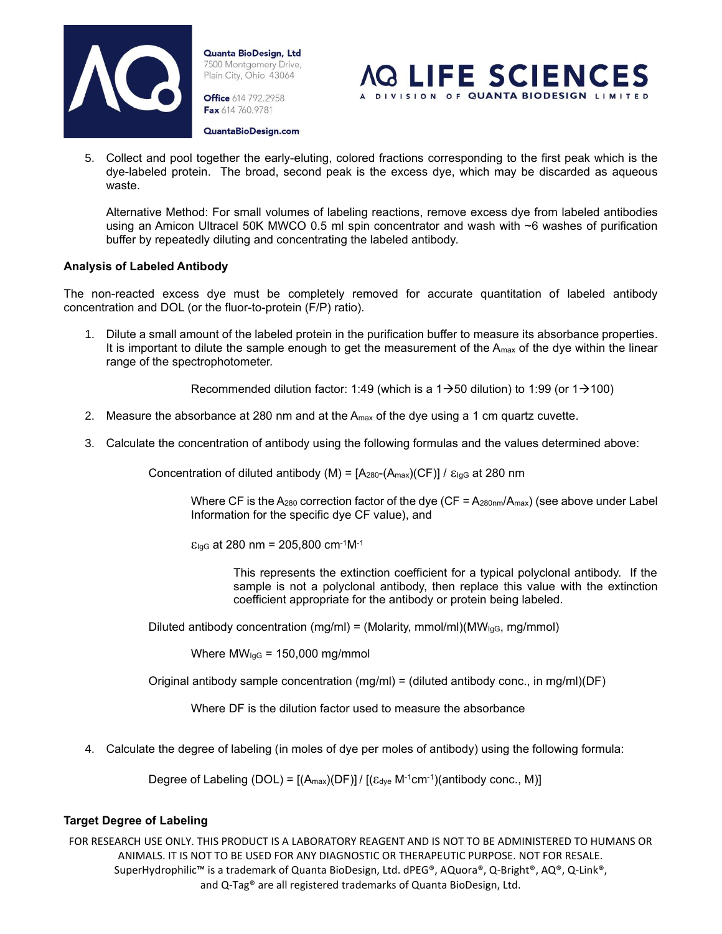

**Office** 614 792.2958 Fax 614 760.9781



- QuantaBioDesign.com
- 5. Collect and pool together the early-eluting, colored fractions corresponding to the first peak which is the dye-labeled protein. The broad, second peak is the excess dye, which may be discarded as aqueous waste.

Alternative Method: For small volumes of labeling reactions, remove excess dye from labeled antibodies using an Amicon Ultracel 50K MWCO 0.5 ml spin concentrator and wash with ~6 washes of purification buffer by repeatedly diluting and concentrating the labeled antibody.

# **Analysis of Labeled Antibody**

The non-reacted excess dye must be completely removed for accurate quantitation of labeled antibody concentration and DOL (or the fluor-to-protein (F/P) ratio).

1. Dilute a small amount of the labeled protein in the purification buffer to measure its absorbance properties. It is important to dilute the sample enough to get the measurement of the  $A_{\text{max}}$  of the dye within the linear range of the spectrophotometer.

Recommended dilution factor: 1:49 (which is a 1 $\rightarrow$ 50 dilution) to 1:99 (or 1 $\rightarrow$ 100)

- 2. Measure the absorbance at 280 nm and at the Amax of the dye using a 1 cm quartz cuvette.
- 3. Calculate the concentration of antibody using the following formulas and the values determined above:

Concentration of diluted antibody (M) =  $[A<sub>280</sub>-(A<sub>max</sub>)(CF)] / \varepsilon<sub>lgG</sub>$  at 280 nm

Where CF is the A<sub>280</sub> correction factor of the dye (CF =  $A_{280nm}/A_{max}$ ) (see above under Label Information for the specific dye CF value), and

 $E_{lgG}$  at 280 nm = 205,800 cm<sup>-1</sup>M<sup>-1</sup>

This represents the extinction coefficient for a typical polyclonal antibody. If the sample is not a polyclonal antibody, then replace this value with the extinction coefficient appropriate for the antibody or protein being labeled.

Diluted antibody concentration (mg/ml) = (Molarity, mmol/ml)( $MW<sub>lgG</sub>$ , mg/mmol)

Where  $MW_{lgG} = 150,000$  mg/mmol

Original antibody sample concentration  $(mg/ml) = (diluted antibody conc., in mg/ml)(DF)$ 

Where DF is the dilution factor used to measure the absorbance

4. Calculate the degree of labeling (in moles of dye per moles of antibody) using the following formula:

Degree of Labeling (DOL) =  $[(A_{max})(DF)] / [( \varepsilon_{\text{dye}} M^{-1} \text{cm}^{-1}) (\text{antibody conc., M})]$ 

# **Target Degree of Labeling**